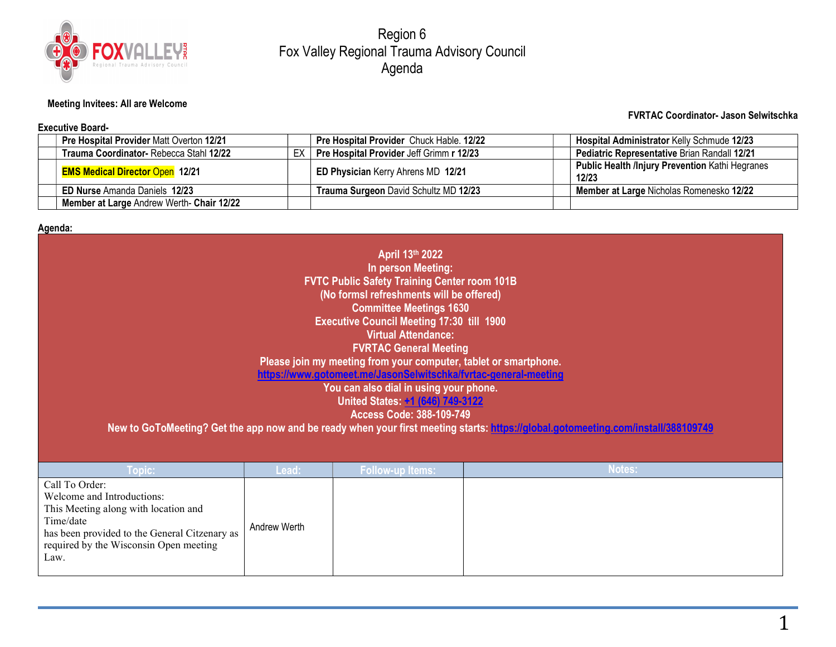

Region 6 Fox Valley Regional Trauma Advisory Council Agenda

### **Meeting Invitees: All are Welcome**

#### **Executive Board-**

#### **FVRTAC Coordinator- Jason Selwitschka**

| <b>Pre Hospital Provider Matt Overton 12/21</b> |  | <b>Pre Hospital Provider Chuck Hable. 12/22</b> |  | <b>Hospital Administrator Kelly Schmude 12/23</b>               |  |  |  |  |
|-------------------------------------------------|--|-------------------------------------------------|--|-----------------------------------------------------------------|--|--|--|--|
| Trauma Coordinator- Rebecca Stahl 12/22         |  | Pre Hospital Provider Jeff Grimm r 12/23        |  | Pediatric Representative Brian Randall 12/21                    |  |  |  |  |
| <b>EMS Medical Director Open 12/21</b>          |  | ED Physician Kerry Ahrens MD 12/21              |  | <b>Public Health /Injury Prevention Kathi Hegranes</b><br>12/23 |  |  |  |  |
| <b>ED Nurse Amanda Daniels 12/23</b>            |  | <b>Trauma Surgeon David Schultz MD 12/23</b>    |  | <b>Member at Large Nicholas Romenesko 12/22</b>                 |  |  |  |  |
| Member at Large Andrew Werth- Chair 12/22       |  |                                                 |  |                                                                 |  |  |  |  |

### **Agenda:**

| April 13th 2022<br>In person Meeting:<br><b>FVTC Public Safety Training Center room 101B</b><br>(No formsl refreshments will be offered)<br><b>Committee Meetings 1630</b><br><b>Executive Council Meeting 17:30 till 1900</b><br><b>Virtual Attendance:</b><br><b>FVRTAC General Meeting</b><br>Please join my meeting from your computer, tablet or smartphone.<br>https://www.gotomeet.me/JasonSelwitschka/fvrtac-general-meeting<br>You can also dial in using your phone.<br>United States: +1 (646) 749-3122<br><b>Access Code: 388-109-749</b><br>New to GoToMeeting? Get the app now and be ready when your first meeting starts: https://global.gotomeeting.com/install/388109749 |              |  |  |  |  |  |  |  |
|--------------------------------------------------------------------------------------------------------------------------------------------------------------------------------------------------------------------------------------------------------------------------------------------------------------------------------------------------------------------------------------------------------------------------------------------------------------------------------------------------------------------------------------------------------------------------------------------------------------------------------------------------------------------------------------------|--------------|--|--|--|--|--|--|--|
|                                                                                                                                                                                                                                                                                                                                                                                                                                                                                                                                                                                                                                                                                            |              |  |  |  |  |  |  |  |
| Welcome and Introductions:<br>This Meeting along with location and<br>Time/date<br>has been provided to the General Citzenary as<br>required by the Wisconsin Open meeting<br>Law.                                                                                                                                                                                                                                                                                                                                                                                                                                                                                                         | Andrew Werth |  |  |  |  |  |  |  |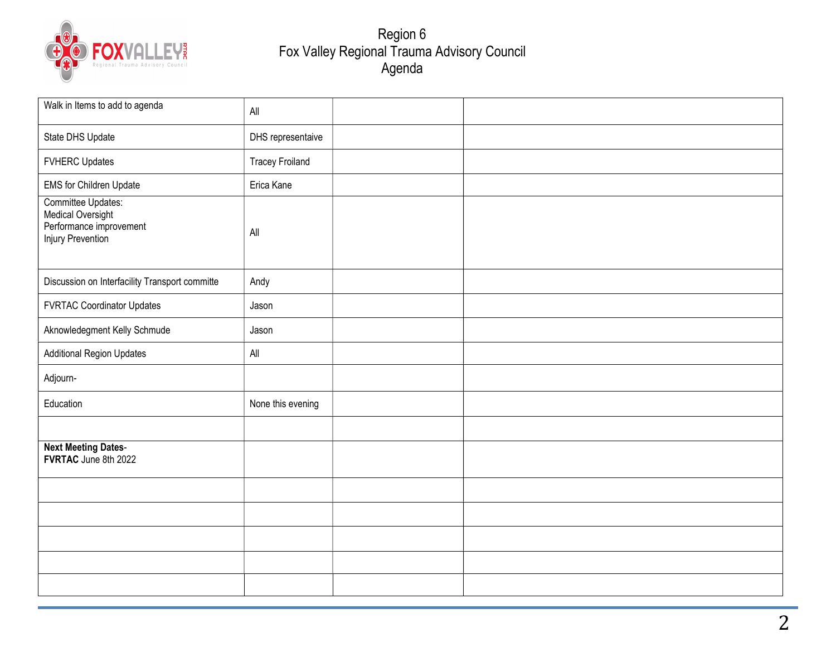

# Region 6 Fox Valley Regional Trauma Advisory Council Agenda

| Walk in Items to add to agenda                                                          | All                    |  |
|-----------------------------------------------------------------------------------------|------------------------|--|
| State DHS Update                                                                        | DHS representaive      |  |
| <b>FVHERC Updates</b>                                                                   | <b>Tracey Froiland</b> |  |
| <b>EMS for Children Update</b>                                                          | Erica Kane             |  |
| Committee Updates:<br>Medical Oversight<br>Performance improvement<br>Injury Prevention | All                    |  |
| Discussion on Interfacility Transport committe                                          | Andy                   |  |
| <b>FVRTAC Coordinator Updates</b>                                                       | Jason                  |  |
| Aknowledegment Kelly Schmude                                                            | Jason                  |  |
| <b>Additional Region Updates</b>                                                        | All                    |  |
| Adjourn-                                                                                |                        |  |
| Education                                                                               | None this evening      |  |
|                                                                                         |                        |  |
| <b>Next Meeting Dates-</b><br>FVRTAC June 8th 2022                                      |                        |  |
|                                                                                         |                        |  |
|                                                                                         |                        |  |
|                                                                                         |                        |  |
|                                                                                         |                        |  |
|                                                                                         |                        |  |